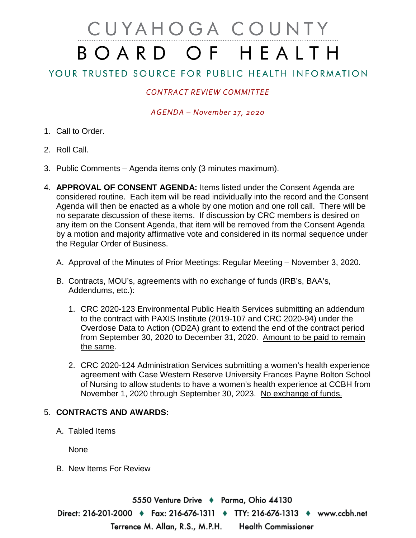# CUYAHOGA COUNTY BOARD OF HEALTH

## YOUR TRUSTED SOURCE FOR PUBLIC HEALTH INFORMATION

### *CONTRACT REVIEW COMMITTEE*

#### *AGENDA – November 17, 2020*

- 1. Call to Order.
- 2. Roll Call.
- 3. Public Comments Agenda items only (3 minutes maximum).
- 4. **APPROVAL OF CONSENT AGENDA:** Items listed under the Consent Agenda are considered routine. Each item will be read individually into the record and the Consent Agenda will then be enacted as a whole by one motion and one roll call. There will be no separate discussion of these items. If discussion by CRC members is desired on any item on the Consent Agenda, that item will be removed from the Consent Agenda by a motion and majority affirmative vote and considered in its normal sequence under the Regular Order of Business.
	- A. Approval of the Minutes of Prior Meetings: Regular Meeting November 3, 2020.
	- B. Contracts, MOU's, agreements with no exchange of funds (IRB's, BAA's, Addendums, etc.):
		- 1. CRC 2020-123 Environmental Public Health Services submitting an addendum to the contract with PAXIS Institute (2019-107 and CRC 2020-94) under the Overdose Data to Action (OD2A) grant to extend the end of the contract period from September 30, 2020 to December 31, 2020. Amount to be paid to remain the same.
		- 2. CRC 2020-124 Administration Services submitting a women's health experience agreement with Case Western Reserve University Frances Payne Bolton School of Nursing to allow students to have a women's health experience at CCBH from November 1, 2020 through September 30, 2023. No exchange of funds.

#### 5. **CONTRACTS AND AWARDS:**

A. Tabled Items

None

B. New Items For Review

5550 Venture Drive ♦ Parma, Ohio 44130 Direct: 216-201-2000 ♦ Fax: 216-676-1311 ♦ TTY: 216-676-1313 ♦ www.ccbh.net Terrence M. Allan, R.S., M.P.H. **Health Commissioner**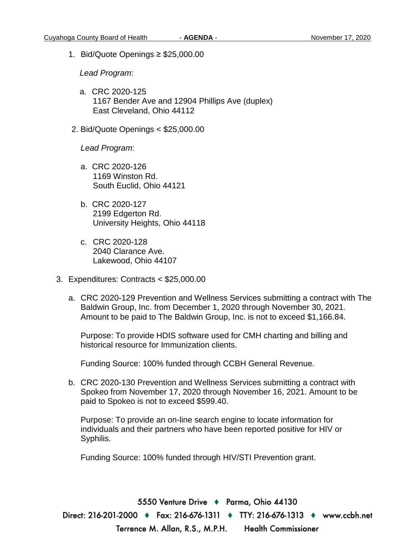1. Bid/Quote Openings ≥ \$25,000.00

*Lead Program*:

- a. CRC 2020-125 1167 Bender Ave and 12904 Phillips Ave (duplex) East Cleveland, Ohio 44112
- 2. Bid/Quote Openings < \$25,000.00

*Lead Program*:

- a. CRC 2020-126 1169 Winston Rd. South Euclid, Ohio 44121
- b. CRC 2020-127 2199 Edgerton Rd. University Heights, Ohio 44118
- c. CRC 2020-128 2040 Clarance Ave. Lakewood, Ohio 44107
- 3. Expenditures: Contracts < \$25,000.00
	- a. CRC 2020-129 Prevention and Wellness Services submitting a contract with The Baldwin Group, Inc. from December 1, 2020 through November 30, 2021. Amount to be paid to The Baldwin Group, Inc. is not to exceed \$1,166.84.

Purpose: To provide HDIS software used for CMH charting and billing and historical resource for Immunization clients.

Funding Source: 100% funded through CCBH General Revenue.

b. CRC 2020-130 Prevention and Wellness Services submitting a contract with Spokeo from November 17, 2020 through November 16, 2021. Amount to be paid to Spokeo is not to exceed \$599.40.

Purpose: To provide an on-line search engine to locate information for individuals and their partners who have been reported positive for HIV or Syphilis.

Funding Source: 100% funded through HIV/STI Prevention grant.

5550 Venture Drive → Parma, Ohio 44130 Direct: 216-201-2000 ♦ Fax: 216-676-1311 ♦ TTY: 216-676-1313 ♦ www.ccbh.net Terrence M. Allan, R.S., M.P.H. **Health Commissioner**